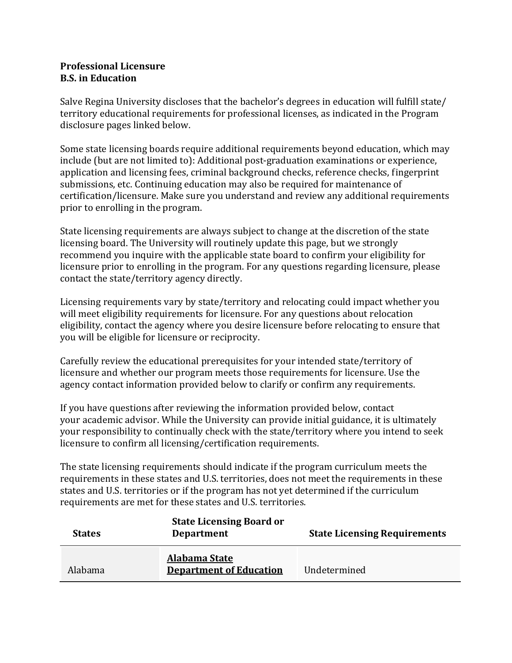## **Professional Licensure B.S. in Education**

Salve Regina University discloses that the bachelor's degrees in education will fulfill state/ territory educational requirements for professional licenses, as indicated in the Program disclosure pages linked below.

Some state licensing boards require additional requirements beyond education, which may include (but are not limited to): Additional post-graduation examinations or experience, application and licensing fees, criminal background checks, reference checks, fingerprint submissions, etc. Continuing education may also be required for maintenance of certification/licensure. Make sure you understand and review any additional requirements prior to enrolling in the program.

State licensing requirements are always subject to change at the discretion of the state licensing board. The University will routinely update this page, but we strongly recommend you inquire with the applicable state board to confirm your eligibility for licensure prior to enrolling in the program. For any questions regarding licensure, please contact the state/territory agency directly.

Licensing requirements vary by state/territory and relocating could impact whether you will meet eligibility requirements for licensure. For any questions about relocation eligibility, contact the agency where you desire licensure before relocating to ensure that you will be eligible for licensure or reciprocity.

Carefully review the educational prerequisites for your intended state/territory of licensure and whether our program meets those requirements for licensure. Use the agency contact information provided below to clarify or confirm any requirements.

If you have questions after reviewing the information provided below, contact your academic advisor. While the University can provide initial guidance, it is ultimately your responsibility to continually check with the state/territory where you intend to seek licensure to confirm all licensing/certification requirements.

The state licensing requirements should indicate if the program curriculum meets the requirements in these states and U.S. territories, does not meet the requirements in these states and U.S. territories or if the program has not yet determined if the curriculum requirements are met for these states and U.S. territories.

| <b>States</b> | <b>State Licensing Board or</b><br><b>Department</b>   | <b>State Licensing Requirements</b> |
|---------------|--------------------------------------------------------|-------------------------------------|
| Alabama       | <b>Alabama State</b><br><b>Department of Education</b> | Undetermined                        |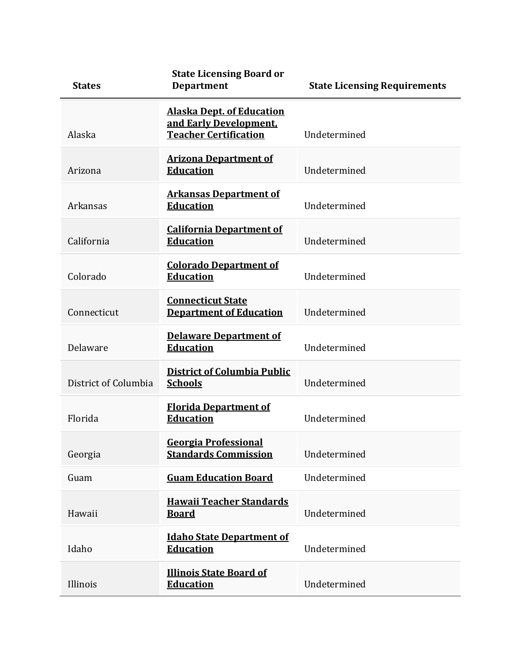| <b>States</b>        | <b>State Licensing Board or</b><br><b>Department</b>                                       | <b>State Licensing Requirements</b> |
|----------------------|--------------------------------------------------------------------------------------------|-------------------------------------|
| Alaska               | <b>Alaska Dept. of Education</b><br>and Early Development.<br><b>Teacher Certification</b> | Undetermined                        |
| Arizona              | <b>Arizona Department of</b><br><b>Education</b>                                           | Undetermined                        |
| Arkansas             | <b>Arkansas Department of</b><br><b>Education</b>                                          | Undetermined                        |
| California           | <b>California Department of</b><br><b>Education</b>                                        | Undetermined                        |
| Colorado             | <b>Colorado Department of</b><br><b>Education</b>                                          | Undetermined                        |
| Connecticut          | <b>Connecticut State</b><br><b>Department of Education</b>                                 | Undetermined                        |
| Delaware             | <b>Delaware Department of</b><br><b>Education</b>                                          | Undetermined                        |
| District of Columbia | <b>District of Columbia Public</b><br><b>Schools</b>                                       | Undetermined                        |
| Florida              | <b>Florida Department of</b><br><b>Education</b>                                           | Undetermined                        |
| Georgia              | Georgia Professional<br><b>Standards Commission</b>                                        | Undetermined                        |
| Guam                 | <b>Guam Education Board</b>                                                                | Undetermined                        |
| Hawaii               | <b>Hawaii Teacher Standards</b><br><b>Board</b>                                            | Undetermined                        |
| Idaho                | <b>Idaho State Department of</b><br><b>Education</b>                                       | Undetermined                        |
| Illinois             | <b>Illinois State Board of</b><br><b>Education</b>                                         | Undetermined                        |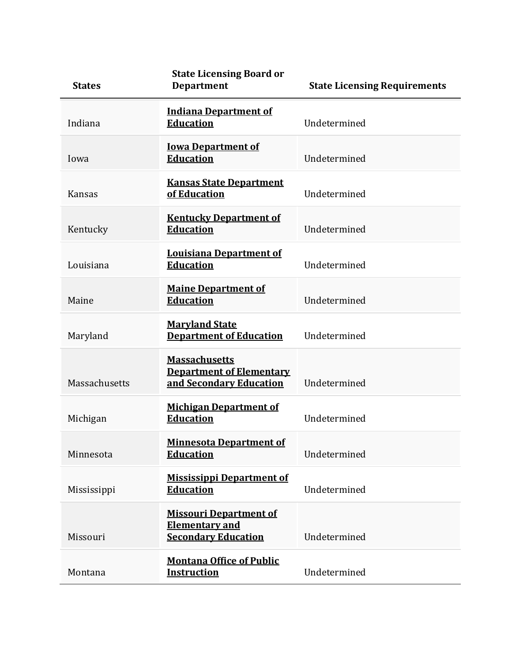| <b>States</b> | <b>State Licensing Board or</b><br><b>Department</b>                                 | <b>State Licensing Requirements</b> |
|---------------|--------------------------------------------------------------------------------------|-------------------------------------|
| Indiana       | <b>Indiana Department of</b><br><b>Education</b>                                     | Undetermined                        |
| Iowa          | <b>Iowa Department of</b><br><b>Education</b>                                        | Undetermined                        |
| <b>Kansas</b> | <b>Kansas State Department</b><br>of Education                                       | Undetermined                        |
| Kentucky      | <b>Kentucky Department of</b><br><b>Education</b>                                    | Undetermined                        |
| Louisiana     | <b>Louisiana Department of</b><br><b>Education</b>                                   | Undetermined                        |
| Maine         | <b>Maine Department of</b><br><b>Education</b>                                       | Undetermined                        |
| Maryland      | <b>Maryland State</b><br><b>Department of Education</b>                              | Undetermined                        |
| Massachusetts | <b>Massachusetts</b><br><b>Department of Elementary</b><br>and Secondary Education   | Undetermined                        |
| Michigan      | <b>Michigan Department of</b><br><b>Education</b>                                    | Undetermined                        |
| Minnesota     | <b>Minnesota Department of</b><br><b>Education</b>                                   | Undetermined                        |
| Mississippi   | <b>Mississippi Department of</b><br><b>Education</b>                                 | Undetermined                        |
| Missouri      | <b>Missouri Department of</b><br><b>Elementary and</b><br><b>Secondary Education</b> | Undetermined                        |
| Montana       | <b>Montana Office of Public</b><br><b>Instruction</b>                                | Undetermined                        |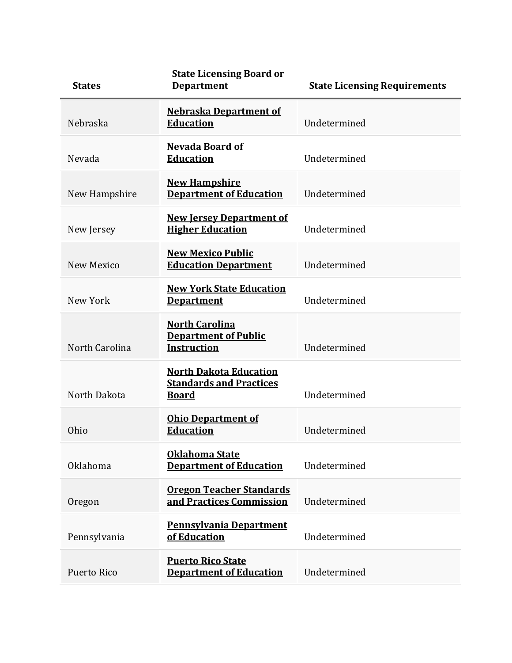| <b>States</b>     | <b>State Licensing Board or</b><br><b>Department</b>                            | <b>State Licensing Requirements</b> |
|-------------------|---------------------------------------------------------------------------------|-------------------------------------|
| Nebraska          | <b>Nebraska Department of</b><br><b>Education</b>                               | Undetermined                        |
| Nevada            | <b>Nevada Board of</b><br><b>Education</b>                                      | Undetermined                        |
| New Hampshire     | <b>New Hampshire</b><br><b>Department of Education</b>                          | Undetermined                        |
| New Jersey        | <b>New Jersey Department of</b><br><b>Higher Education</b>                      | Undetermined                        |
| <b>New Mexico</b> | <b>New Mexico Public</b><br><b>Education Department</b>                         | Undetermined                        |
| New York          | <b>New York State Education</b><br><b>Department</b>                            | Undetermined                        |
| North Carolina    | <b>North Carolina</b><br><b>Department of Public</b><br><b>Instruction</b>      | Undetermined                        |
| North Dakota      | <b>North Dakota Education</b><br><b>Standards and Practices</b><br><u>Board</u> | Undetermined                        |
| Ohio              | <b>Ohio Department of</b><br><b>Education</b>                                   | Undetermined                        |
| Oklahoma          | Oklahoma State<br><b>Department of Education</b>                                | Undetermined                        |
| Oregon            | <b>Oregon Teacher Standards</b><br>and Practices Commission                     | Undetermined                        |
| Pennsylvania      | <b>Pennsylvania Department</b><br>of Education                                  | Undetermined                        |
| Puerto Rico       | <b>Puerto Rico State</b><br><b>Department of Education</b>                      | Undetermined                        |